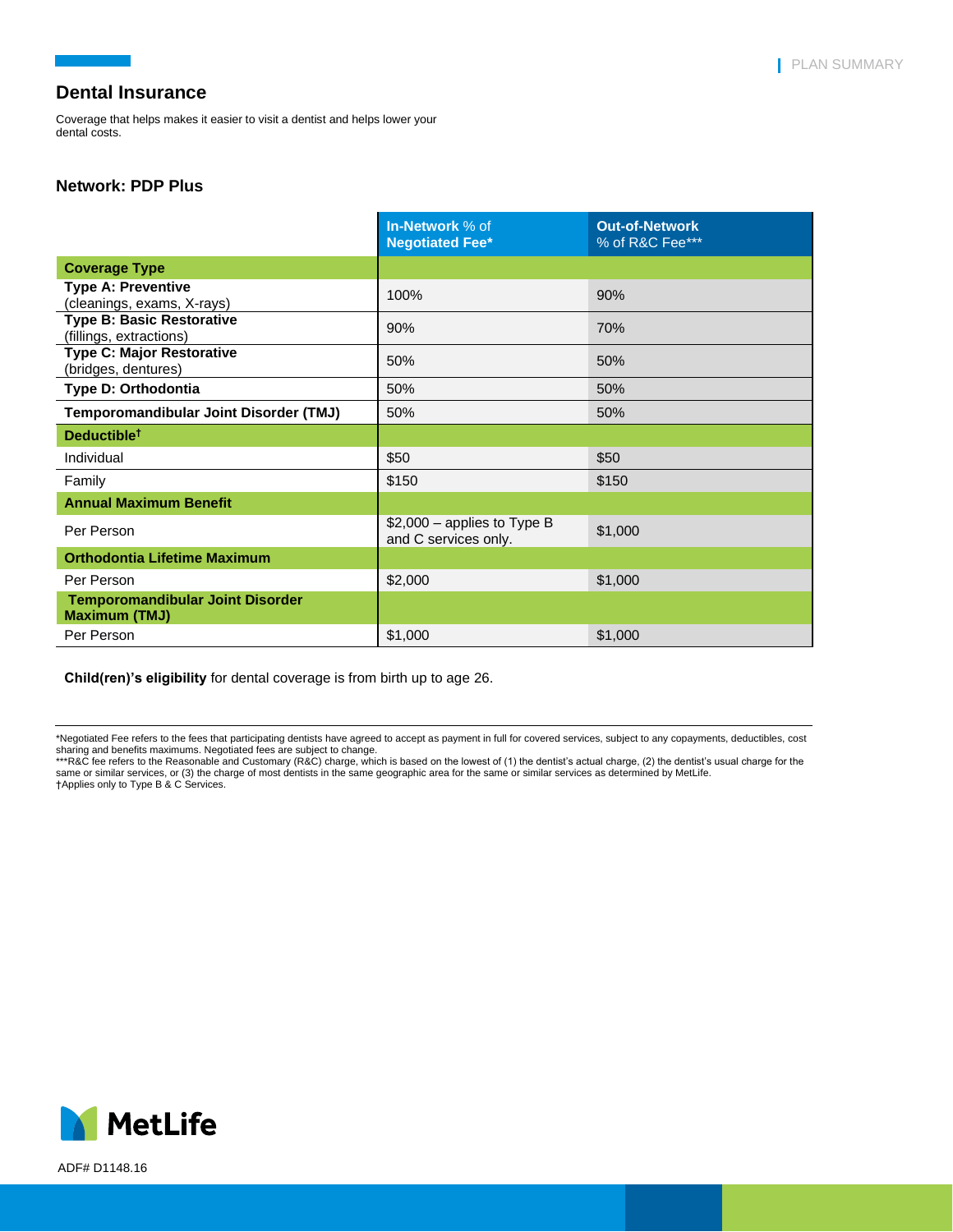Coverage that helps makes it easier to visit a dentist and helps lower your dental costs.

### **Network: PDP Plus**

|                                                                 | In-Network % of<br><b>Negotiated Fee*</b>            | <b>Out-of-Network</b><br>% of R&C Fee*** |
|-----------------------------------------------------------------|------------------------------------------------------|------------------------------------------|
| <b>Coverage Type</b>                                            |                                                      |                                          |
| <b>Type A: Preventive</b><br>(cleanings, exams, X-rays)         | 100%                                                 | 90%                                      |
| <b>Type B: Basic Restorative</b><br>(fillings, extractions)     | 90%                                                  | 70%                                      |
| <b>Type C: Major Restorative</b><br>(bridges, dentures)         | 50%                                                  | 50%                                      |
| Type D: Orthodontia                                             | 50%                                                  | 50%                                      |
| Temporomandibular Joint Disorder (TMJ)                          | 50%                                                  | 50%                                      |
| Deductible <sup>t</sup>                                         |                                                      |                                          |
| Individual                                                      | \$50                                                 | \$50                                     |
| Family                                                          | \$150                                                | \$150                                    |
| <b>Annual Maximum Benefit</b>                                   |                                                      |                                          |
| Per Person                                                      | $$2,000$ – applies to Type B<br>and C services only. | \$1,000                                  |
| <b>Orthodontia Lifetime Maximum</b>                             |                                                      |                                          |
| Per Person                                                      | \$2,000                                              | \$1,000                                  |
| <b>Temporomandibular Joint Disorder</b><br><b>Maximum (TMJ)</b> |                                                      |                                          |
| Per Person                                                      | \$1,000                                              | \$1,000                                  |

**Child(ren)'s eligibility** for dental coverage is from birth up to age 26.



ADF# D1148.16

<sup>\*</sup>Negotiated Fee refers to the fees that participating dentists have agreed to accept as payment in full for covered services, subject to any copayments, deductibles, cost

sharing and benefits maximums. Negotiated fees are subject to change.<br>\*\*\*R&C fee refers to the Reasonable and Customary (R&C) charge, which is based on the lowest of (1) the dentist's actual charge, (2) the dentist's usual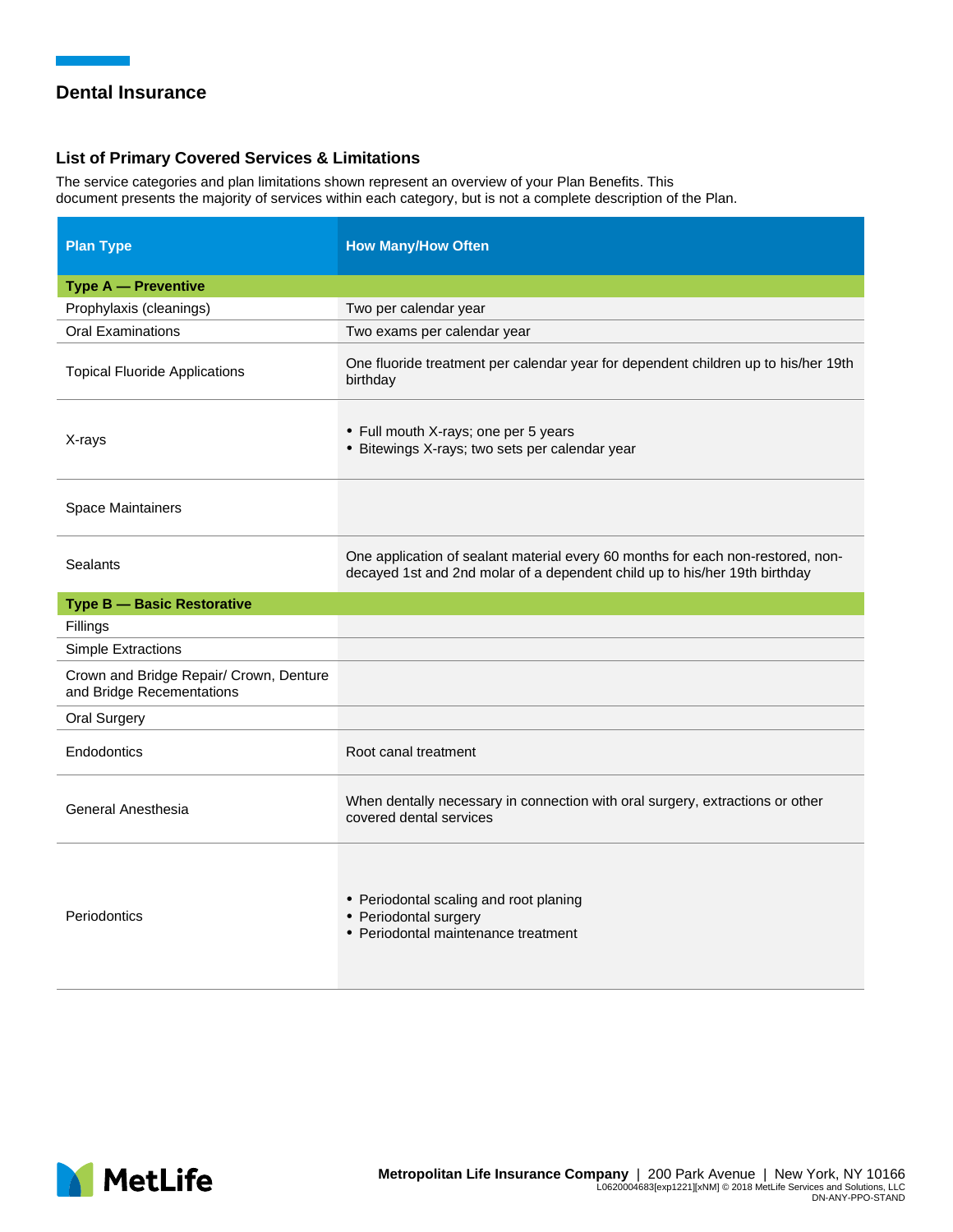### **List of Primary Covered Services & Limitations**

The service categories and plan limitations shown represent an overview of your Plan Benefits. This document presents the majority of services within each category, but is not a complete description of the Plan.

| <b>Plan Type</b>                                                     | <b>How Many/How Often</b>                                                                                                                                     |
|----------------------------------------------------------------------|---------------------------------------------------------------------------------------------------------------------------------------------------------------|
| <b>Type A - Preventive</b>                                           |                                                                                                                                                               |
| Prophylaxis (cleanings)                                              | Two per calendar year                                                                                                                                         |
| <b>Oral Examinations</b>                                             | Two exams per calendar year                                                                                                                                   |
| <b>Topical Fluoride Applications</b>                                 | One fluoride treatment per calendar year for dependent children up to his/her 19th<br>birthday                                                                |
| X-rays                                                               | • Full mouth X-rays; one per 5 years<br>• Bitewings X-rays; two sets per calendar year                                                                        |
| <b>Space Maintainers</b>                                             |                                                                                                                                                               |
| Sealants                                                             | One application of sealant material every 60 months for each non-restored, non-<br>decayed 1st and 2nd molar of a dependent child up to his/her 19th birthday |
| <b>Type B - Basic Restorative</b>                                    |                                                                                                                                                               |
| Fillings                                                             |                                                                                                                                                               |
| <b>Simple Extractions</b>                                            |                                                                                                                                                               |
| Crown and Bridge Repair/ Crown, Denture<br>and Bridge Recementations |                                                                                                                                                               |
| <b>Oral Surgery</b>                                                  |                                                                                                                                                               |
| Endodontics                                                          | Root canal treatment                                                                                                                                          |
| General Anesthesia                                                   | When dentally necessary in connection with oral surgery, extractions or other<br>covered dental services                                                      |
| Periodontics                                                         | • Periodontal scaling and root planing<br>• Periodontal surgery<br>• Periodontal maintenance treatment                                                        |

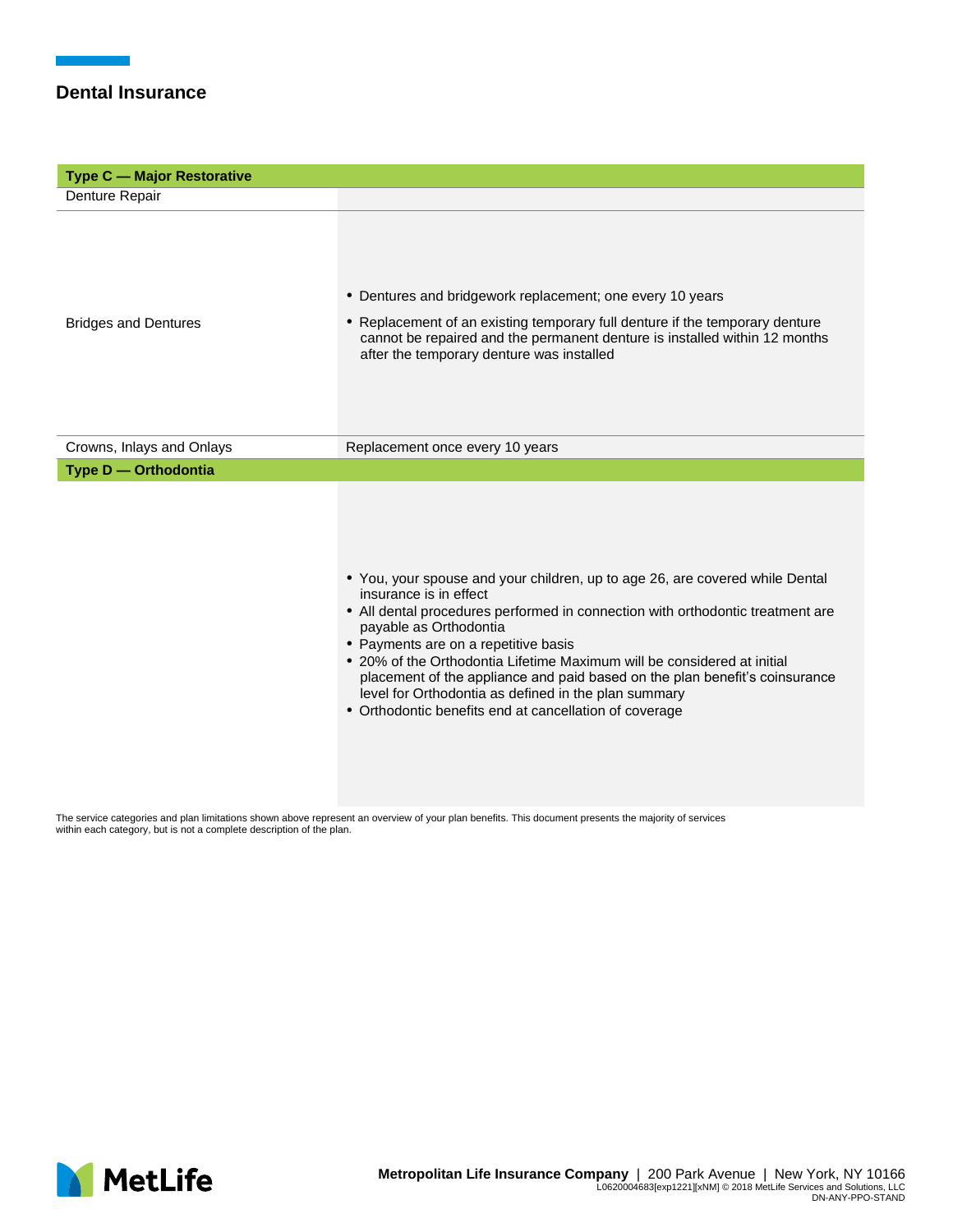| <b>Type C - Major Restorative</b> |                                                                                                                                                                                                                                                                                                                                                                                                                                                                                                                                        |  |
|-----------------------------------|----------------------------------------------------------------------------------------------------------------------------------------------------------------------------------------------------------------------------------------------------------------------------------------------------------------------------------------------------------------------------------------------------------------------------------------------------------------------------------------------------------------------------------------|--|
| Denture Repair                    |                                                                                                                                                                                                                                                                                                                                                                                                                                                                                                                                        |  |
| <b>Bridges and Dentures</b>       | • Dentures and bridgework replacement; one every 10 years<br>• Replacement of an existing temporary full denture if the temporary denture<br>cannot be repaired and the permanent denture is installed within 12 months<br>after the temporary denture was installed                                                                                                                                                                                                                                                                   |  |
| Crowns, Inlays and Onlays         | Replacement once every 10 years                                                                                                                                                                                                                                                                                                                                                                                                                                                                                                        |  |
| Type D - Orthodontia              |                                                                                                                                                                                                                                                                                                                                                                                                                                                                                                                                        |  |
|                                   | • You, your spouse and your children, up to age 26, are covered while Dental<br>insurance is in effect<br>• All dental procedures performed in connection with orthodontic treatment are<br>payable as Orthodontia<br>• Payments are on a repetitive basis<br>• 20% of the Orthodontia Lifetime Maximum will be considered at initial<br>placement of the appliance and paid based on the plan benefit's coinsurance<br>level for Orthodontia as defined in the plan summary<br>• Orthodontic benefits end at cancellation of coverage |  |

The service categories and plan limitations shown above represent an overview of your plan benefits. This document presents the majority of services within each category, but is not a complete description of the plan.

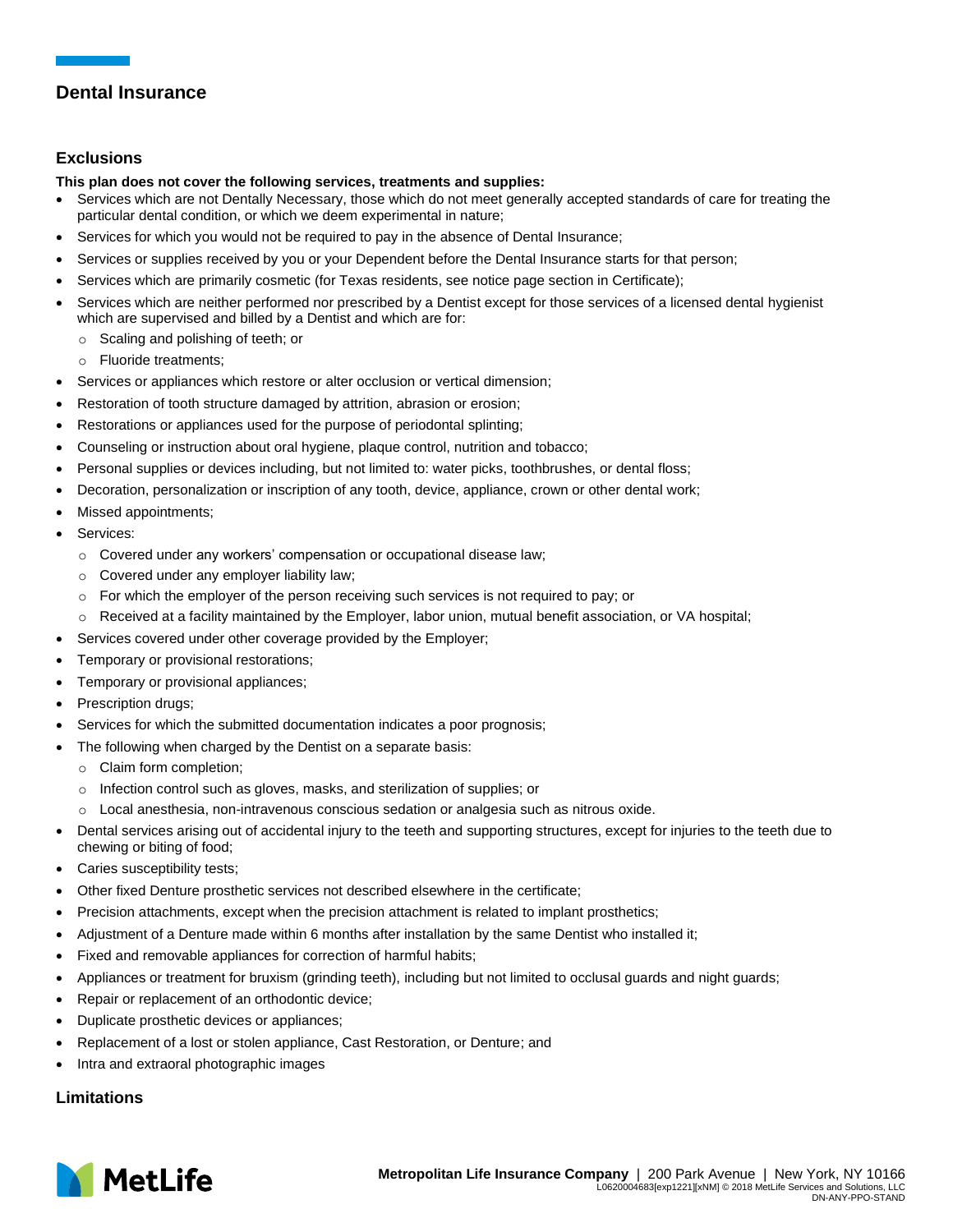### **Exclusions**

### **This plan does not cover the following services, treatments and supplies:**

- Services which are not Dentally Necessary, those which do not meet generally accepted standards of care for treating the particular dental condition, or which we deem experimental in nature;
- Services for which you would not be required to pay in the absence of Dental Insurance;
- Services or supplies received by you or your Dependent before the Dental Insurance starts for that person;
- Services which are primarily cosmetic (for Texas residents, see notice page section in Certificate);
- Services which are neither performed nor prescribed by a Dentist except for those services of a licensed dental hygienist which are supervised and billed by a Dentist and which are for:
	- o Scaling and polishing of teeth; or
	- o Fluoride treatments;
- Services or appliances which restore or alter occlusion or vertical dimension;
- Restoration of tooth structure damaged by attrition, abrasion or erosion;
- Restorations or appliances used for the purpose of periodontal splinting;
- Counseling or instruction about oral hygiene, plaque control, nutrition and tobacco;
- Personal supplies or devices including, but not limited to: water picks, toothbrushes, or dental floss;
- Decoration, personalization or inscription of any tooth, device, appliance, crown or other dental work;
- Missed appointments;
- Services:
	- o Covered under any workers' compensation or occupational disease law;
	- o Covered under any employer liability law;
	- $\circ$  For which the employer of the person receiving such services is not required to pay; or
	- o Received at a facility maintained by the Employer, labor union, mutual benefit association, or VA hospital;
- Services covered under other coverage provided by the Employer;
- Temporary or provisional restorations;
- Temporary or provisional appliances;
- Prescription drugs;
- Services for which the submitted documentation indicates a poor prognosis;
- The following when charged by the Dentist on a separate basis:
	- o Claim form completion;
	- o Infection control such as gloves, masks, and sterilization of supplies; or
	- $\circ$  Local anesthesia, non-intravenous conscious sedation or analgesia such as nitrous oxide.
- Dental services arising out of accidental injury to the teeth and supporting structures, except for injuries to the teeth due to chewing or biting of food;
- Caries susceptibility tests;
- Other fixed Denture prosthetic services not described elsewhere in the certificate;
- Precision attachments, except when the precision attachment is related to implant prosthetics;
- Adjustment of a Denture made within 6 months after installation by the same Dentist who installed it;
- Fixed and removable appliances for correction of harmful habits;
- Appliances or treatment for bruxism (grinding teeth), including but not limited to occlusal guards and night guards;
- Repair or replacement of an orthodontic device;
- Duplicate prosthetic devices or appliances;
- Replacement of a lost or stolen appliance, Cast Restoration, or Denture; and
- Intra and extraoral photographic images

## **Limitations**

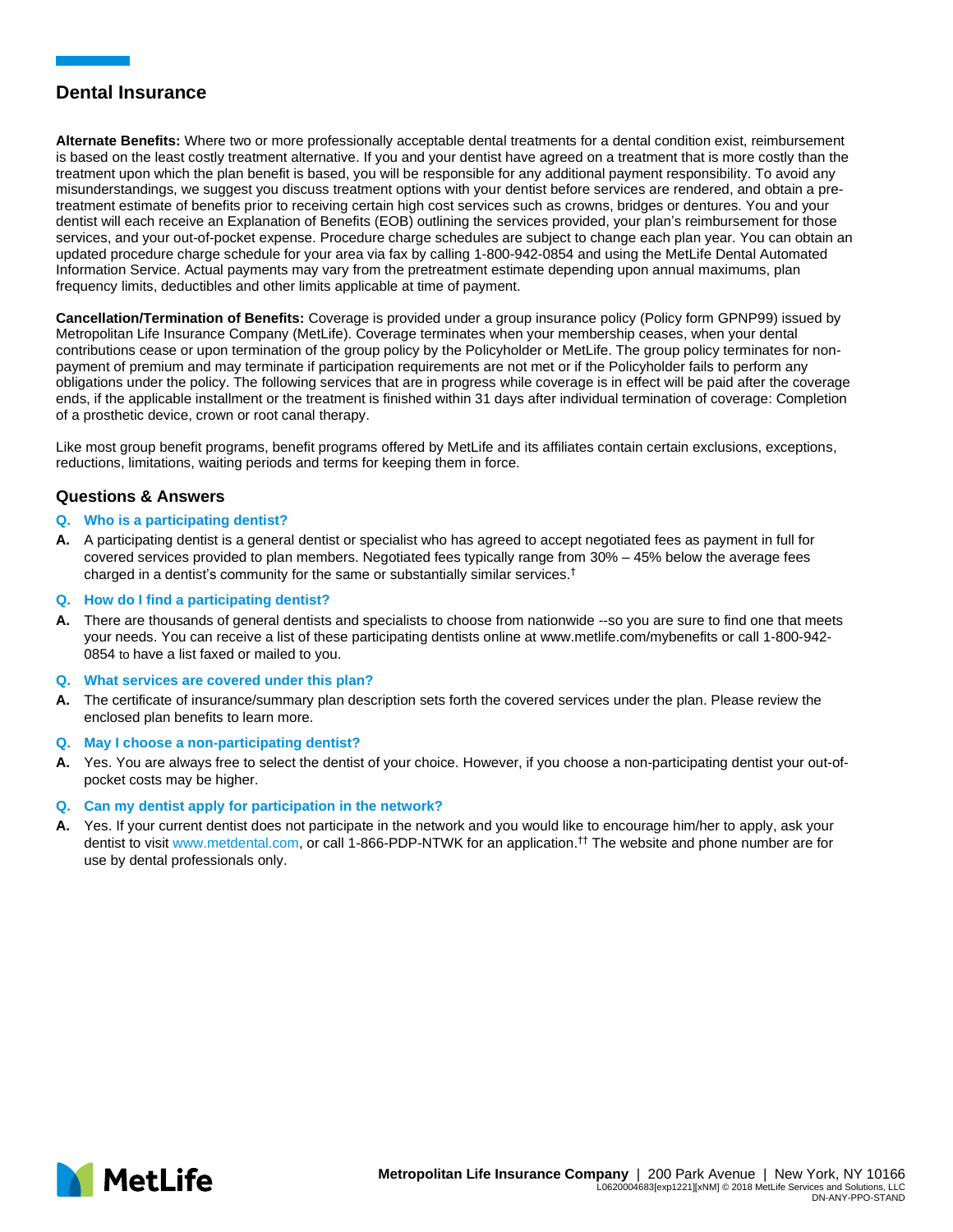**Alternate Benefits:** Where two or more professionally acceptable dental treatments for a dental condition exist, reimbursement is based on the least costly treatment alternative. If you and your dentist have agreed on a treatment that is more costly than the treatment upon which the plan benefit is based, you will be responsible for any additional payment responsibility. To avoid any misunderstandings, we suggest you discuss treatment options with your dentist before services are rendered, and obtain a pretreatment estimate of benefits prior to receiving certain high cost services such as crowns, bridges or dentures. You and your dentist will each receive an Explanation of Benefits (EOB) outlining the services provided, your plan's reimbursement for those services, and your out-of-pocket expense. Procedure charge schedules are subject to change each plan year. You can obtain an updated procedure charge schedule for your area via fax by calling 1-800-942-0854 and using the MetLife Dental Automated Information Service. Actual payments may vary from the pretreatment estimate depending upon annual maximums, plan frequency limits, deductibles and other limits applicable at time of payment.

**Cancellation/Termination of Benefits:** Coverage is provided under a group insurance policy (Policy form GPNP99) issued by Metropolitan Life Insurance Company (MetLife). Coverage terminates when your membership ceases, when your dental contributions cease or upon termination of the group policy by the Policyholder or MetLife. The group policy terminates for nonpayment of premium and may terminate if participation requirements are not met or if the Policyholder fails to perform any obligations under the policy. The following services that are in progress while coverage is in effect will be paid after the coverage ends, if the applicable installment or the treatment is finished within 31 days after individual termination of coverage: Completion of a prosthetic device, crown or root canal therapy.

Like most group benefit programs, benefit programs offered by MetLife and its affiliates contain certain exclusions, exceptions, reductions, limitations, waiting periods and terms for keeping them in force.

### **Questions & Answers**

### **Q. Who is a participating dentist?**

**A.** A participating dentist is a general dentist or specialist who has agreed to accept negotiated fees as payment in full for covered services provided to plan members. Negotiated fees typically range from 30% – 45% below the average fees charged in a dentist's community for the same or substantially similar services.†

### **Q. How do I find a participating dentist?**

- **A.** There are thousands of general dentists and specialists to choose from nationwide --so you are sure to find one that meets your needs. You can receive a list of these participating dentists online at [www.metlife.com/mybenefits](http://www.metlife.com/mybenefits) or call 1-800-942- 0854 to have a list faxed or mailed to you.
- **Q. What services are covered under this plan?**
- **A.** The certificate of insurance/summary plan description sets forth the covered services under the plan. Please review the enclosed plan benefits to learn more.
- **Q. May I choose a non-participating dentist?**
- **A.** Yes. You are always free to select the dentist of your choice. However, if you choose a non-participating dentist your out-ofpocket costs may be higher.

### **Q. Can my dentist apply for participation in the network?**

**A.** Yes. If your current dentist does not participate in the network and you would like to encourage him/her to apply, ask your dentist to visit www.metdental.com, or call 1-866-PDP-NTWK for an application.†† The website and phone number are for use by dental professionals only.